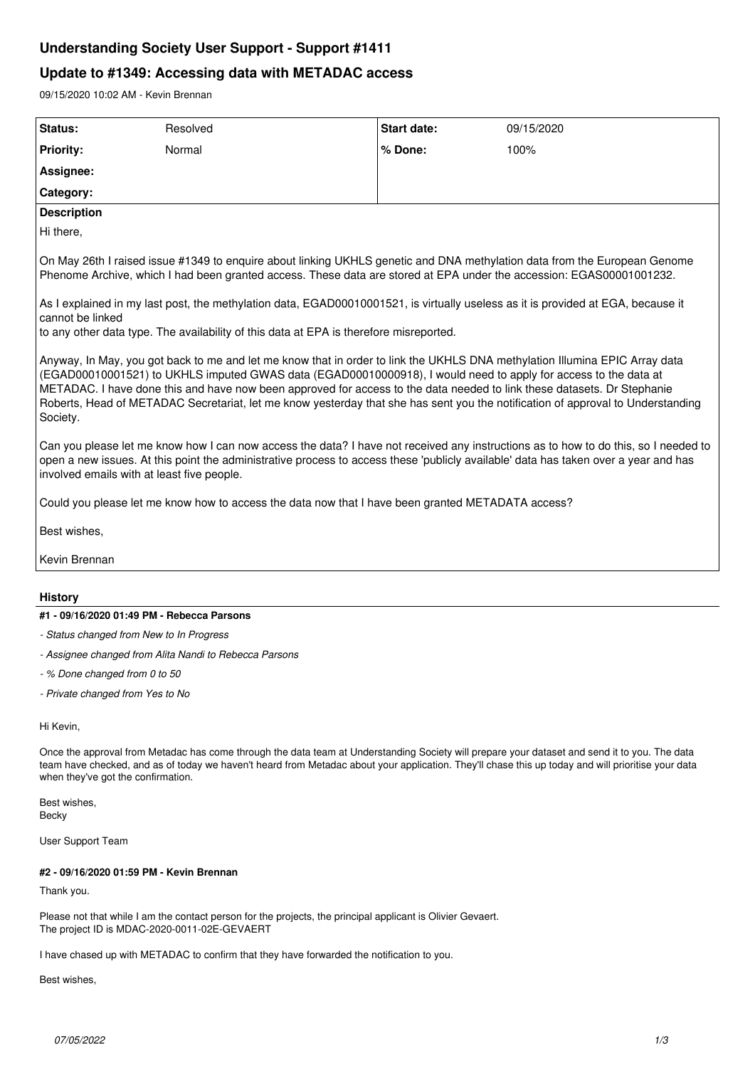# **Understanding Society User Support - Support #1411**

# **Update to #1349: Accessing data with METADAC access**

09/15/2020 10:02 AM - Kevin Brennan

| Status:                                                                                                                                                                                                                                                                                                                                                                                                                                                                                                                  | Resolved | Start date: | 09/15/2020 |
|--------------------------------------------------------------------------------------------------------------------------------------------------------------------------------------------------------------------------------------------------------------------------------------------------------------------------------------------------------------------------------------------------------------------------------------------------------------------------------------------------------------------------|----------|-------------|------------|
| <b>Priority:</b>                                                                                                                                                                                                                                                                                                                                                                                                                                                                                                         | Normal   | % Done:     | 100%       |
| Assignee:                                                                                                                                                                                                                                                                                                                                                                                                                                                                                                                |          |             |            |
| Category:                                                                                                                                                                                                                                                                                                                                                                                                                                                                                                                |          |             |            |
| <b>Description</b>                                                                                                                                                                                                                                                                                                                                                                                                                                                                                                       |          |             |            |
| Hi there,                                                                                                                                                                                                                                                                                                                                                                                                                                                                                                                |          |             |            |
| On May 26th I raised issue #1349 to enquire about linking UKHLS genetic and DNA methylation data from the European Genome<br>Phenome Archive, which I had been granted access. These data are stored at EPA under the accession: EGAS00001001232.                                                                                                                                                                                                                                                                        |          |             |            |
| As I explained in my last post, the methylation data, EGAD00010001521, is virtually useless as it is provided at EGA, because it<br>cannot be linked<br>to any other data type. The availability of this data at EPA is therefore misreported.                                                                                                                                                                                                                                                                           |          |             |            |
| Anyway, In May, you got back to me and let me know that in order to link the UKHLS DNA methylation Illumina EPIC Array data<br>(EGAD00010001521) to UKHLS imputed GWAS data (EGAD00010000918), I would need to apply for access to the data at<br>METADAC. I have done this and have now been approved for access to the data needed to link these datasets. Dr Stephanie<br>Roberts, Head of METADAC Secretariat, let me know yesterday that she has sent you the notification of approval to Understanding<br>Society. |          |             |            |
| Can you please let me know how I can now access the data? I have not received any instructions as to how to do this, so I needed to<br>open a new issues. At this point the administrative process to access these 'publicly available' data has taken over a year and has<br>involved emails with at least five people.                                                                                                                                                                                                 |          |             |            |
| Could you please let me know how to access the data now that I have been granted METADATA access?                                                                                                                                                                                                                                                                                                                                                                                                                        |          |             |            |
| Best wishes,                                                                                                                                                                                                                                                                                                                                                                                                                                                                                                             |          |             |            |
| Kevin Brennan                                                                                                                                                                                                                                                                                                                                                                                                                                                                                                            |          |             |            |
|                                                                                                                                                                                                                                                                                                                                                                                                                                                                                                                          |          |             |            |
| <b>History</b>                                                                                                                                                                                                                                                                                                                                                                                                                                                                                                           |          |             |            |
| #1 - 09/16/2020 01:49 PM - Rebecca Parsons                                                                                                                                                                                                                                                                                                                                                                                                                                                                               |          |             |            |
| - Status changed from New to In Progress                                                                                                                                                                                                                                                                                                                                                                                                                                                                                 |          |             |            |
| - Assignee changed from Alita Nandi to Rebecca Parsons                                                                                                                                                                                                                                                                                                                                                                                                                                                                   |          |             |            |
| - % Done changed from 0 to 50                                                                                                                                                                                                                                                                                                                                                                                                                                                                                            |          |             |            |
| - Private changed from Yes to No                                                                                                                                                                                                                                                                                                                                                                                                                                                                                         |          |             |            |
| Hi Kevin,                                                                                                                                                                                                                                                                                                                                                                                                                                                                                                                |          |             |            |
| Once the approval from Metadac has come through the data team at Understanding Society will prepare your dataset and send it to you. The data<br>team have checked, and as of today we haven't heard from Metadac about your application. They'll chase this up today and will prioritise your data<br>when they've got the confirmation.                                                                                                                                                                                |          |             |            |
| Best wishes,<br>Becky                                                                                                                                                                                                                                                                                                                                                                                                                                                                                                    |          |             |            |

User Support Team

# **#2 - 09/16/2020 01:59 PM - Kevin Brennan**

Thank you.

Please not that while I am the contact person for the projects, the principal applicant is Olivier Gevaert. The project ID is MDAC-2020-0011-02E-GEVAERT

I have chased up with METADAC to confirm that they have forwarded the notification to you.

Best wishes,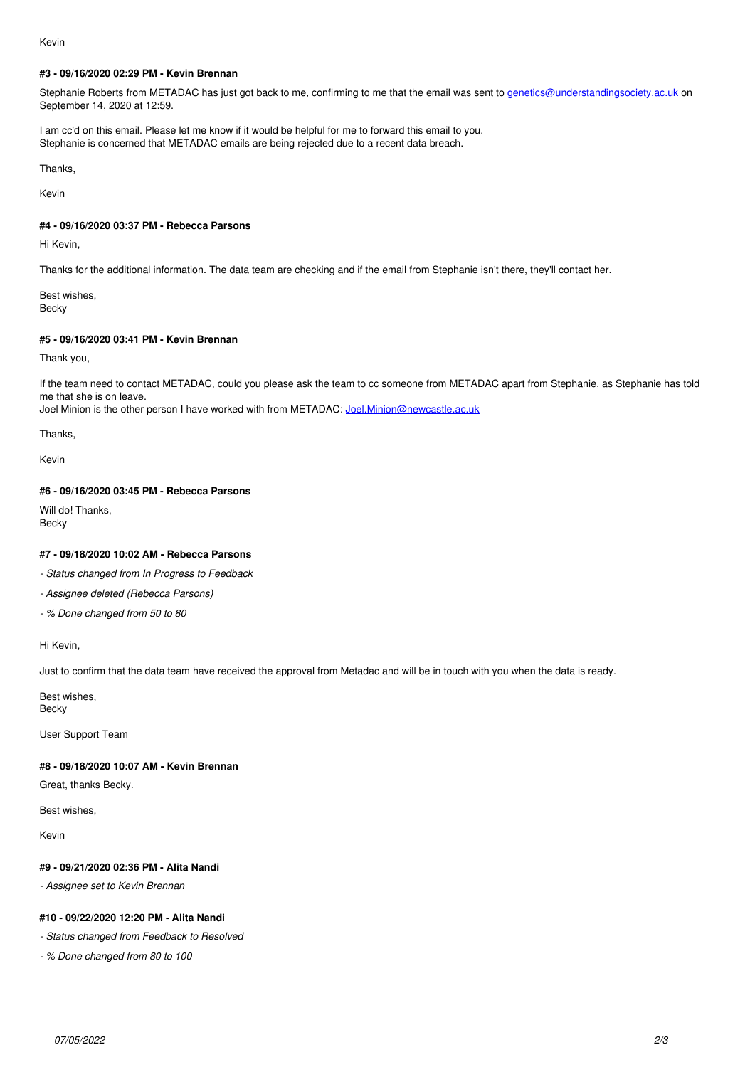### Kevin

## **#3 - 09/16/2020 02:29 PM - Kevin Brennan**

Stephanie Roberts from METADAC has just got back to me, confirming to me that the email was sent to [genetics@understandingsociety.ac.uk](mailto:genetics@understandingsociety.ac.uk) on September 14, 2020 at 12:59.

I am cc'd on this email. Please let me know if it would be helpful for me to forward this email to you. Stephanie is concerned that METADAC emails are being rejected due to a recent data breach.

Thanks,

Kevin

# **#4 - 09/16/2020 03:37 PM - Rebecca Parsons**

Hi Kevin,

Thanks for the additional information. The data team are checking and if the email from Stephanie isn't there, they'll contact her.

Best wishes, Becky

# **#5 - 09/16/2020 03:41 PM - Kevin Brennan**

Thank you,

If the team need to contact METADAC, could you please ask the team to cc someone from METADAC apart from Stephanie, as Stephanie has told me that she is on leave.

Joel Minion is the other person I have worked with from METADAC: Joel Minion@newcastle.ac.uk

Thanks,

Kevin

# **#6 - 09/16/2020 03:45 PM - Rebecca Parsons**

Will do! Thanks, Becky

# **#7 - 09/18/2020 10:02 AM - Rebecca Parsons**

*- Status changed from In Progress to Feedback*

- *Assignee deleted (Rebecca Parsons)*
- *% Done changed from 50 to 80*

Hi Kevin,

Just to confirm that the data team have received the approval from Metadac and will be in touch with you when the data is ready.

Best wishes, Becky

User Support Team

# **#8 - 09/18/2020 10:07 AM - Kevin Brennan**

Great, thanks Becky.

Best wishes,

Kevin

# **#9 - 09/21/2020 02:36 PM - Alita Nandi**

*- Assignee set to Kevin Brennan*

# **#10 - 09/22/2020 12:20 PM - Alita Nandi**

*- Status changed from Feedback to Resolved*

*- % Done changed from 80 to 100*